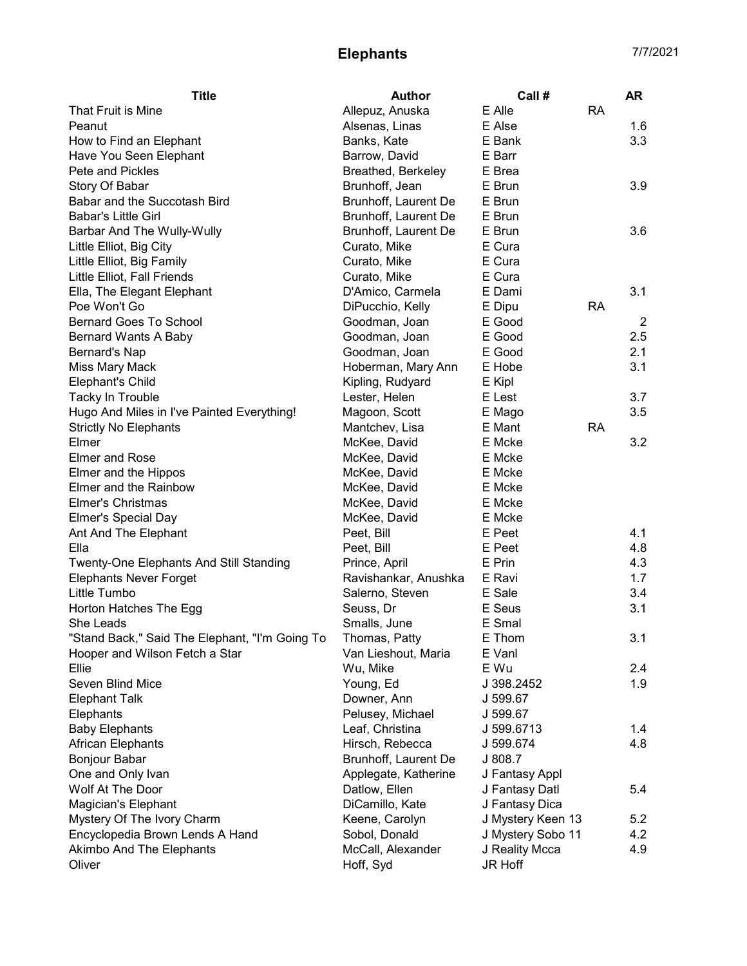## Elephants 7/7/2021

| E Alle<br><b>RA</b><br>Allepuz, Anuska<br>Alsenas, Linas<br>E Alse<br>1.6<br>Banks, Kate<br>E Bank<br>3.3<br>Barrow, David<br>E Barr<br>E Brea<br>Breathed, Berkeley<br>Brunhoff, Jean<br>E Brun<br>3.9<br>Brunhoff, Laurent De<br>E Brun<br>Brunhoff, Laurent De<br>E Brun<br>Brunhoff, Laurent De<br>E Brun<br>3.6<br>E Cura<br>Curato, Mike<br>Little Elliot, Big Family<br>E Cura<br>Curato, Mike<br>E Cura<br>Curato, Mike<br>3.1<br>D'Amico, Carmela<br>E Dami<br>Ella, The Elegant Elephant<br>DiPucchio, Kelly<br>E Dipu<br><b>RA</b><br>E Good<br><b>Bernard Goes To School</b><br>Goodman, Joan<br>$\overline{2}$<br>E Good<br>2.5<br>Goodman, Joan<br>Bernard Wants A Baby<br>E Good<br>2.1<br>Goodman, Joan<br>Bernard's Nap<br>3.1<br>Hoberman, Mary Ann<br>E Hobe<br>Miss Mary Mack<br><b>Elephant's Child</b><br>Kipling, Rudyard<br>E Kipl<br>Tacky In Trouble<br>E Lest<br>3.7<br>Lester, Helen<br>3.5<br>Hugo And Miles in I've Painted Everything!<br>Magoon, Scott<br>E Mago<br><b>Strictly No Elephants</b><br>E Mant<br><b>RA</b><br>Mantchev, Lisa<br>Elmer<br>E Mcke<br>3.2<br>McKee, David<br><b>Elmer and Rose</b><br>McKee, David<br>E Mcke<br>Elmer and the Hippos<br>McKee, David<br>E Mcke<br>Elmer and the Rainbow<br>McKee, David<br>E Mcke<br>Elmer's Christmas<br>McKee, David<br>E Mcke<br><b>Elmer's Special Day</b><br>McKee, David<br>E Mcke<br>E Peet<br>4.1<br>Ant And The Elephant<br>Peet, Bill<br>4.8<br>Ella<br>E Peet<br>Peet, Bill<br>E Prin<br>4.3<br><b>Twenty-One Elephants And Still Standing</b><br>Prince, April<br><b>Elephants Never Forget</b><br>Ravishankar, Anushka<br>E Ravi<br>1.7<br>E Sale<br>Little Tumbo<br>Salerno, Steven<br>3.4<br>E Seus<br>Horton Hatches The Egg<br>Seuss, Dr<br>3.1<br>E Smal<br>She Leads<br>Smalls, June<br>"Stand Back," Said The Elephant, "I'm Going To<br>3.1<br>Thomas, Patty<br>E Thom<br>Hooper and Wilson Fetch a Star<br>Van Lieshout, Maria<br>E Vanl<br>E Wu<br>Ellie<br>2.4<br>Wu, Mike<br>Seven Blind Mice<br>1.9<br>Young, Ed<br>J 398.2452<br><b>Elephant Talk</b><br>Downer, Ann<br>J 599.67<br>Pelusey, Michael<br>Elephants<br>J 599.67<br><b>Baby Elephants</b><br>Leaf, Christina<br>1.4<br>J 599.6713<br>Hirsch, Rebecca<br>4.8<br>African Elephants<br>J 599.674<br>Bonjour Babar<br>Brunhoff, Laurent De<br>J 808.7 | <b>Title</b>                    | <b>Author</b>        | Call#          | <b>AR</b> |
|-------------------------------------------------------------------------------------------------------------------------------------------------------------------------------------------------------------------------------------------------------------------------------------------------------------------------------------------------------------------------------------------------------------------------------------------------------------------------------------------------------------------------------------------------------------------------------------------------------------------------------------------------------------------------------------------------------------------------------------------------------------------------------------------------------------------------------------------------------------------------------------------------------------------------------------------------------------------------------------------------------------------------------------------------------------------------------------------------------------------------------------------------------------------------------------------------------------------------------------------------------------------------------------------------------------------------------------------------------------------------------------------------------------------------------------------------------------------------------------------------------------------------------------------------------------------------------------------------------------------------------------------------------------------------------------------------------------------------------------------------------------------------------------------------------------------------------------------------------------------------------------------------------------------------------------------------------------------------------------------------------------------------------------------------------------------------------------------------------------------------------------------------------------------------------------------------------------------------------------------------------------------------------------------------------------------------------------|---------------------------------|----------------------|----------------|-----------|
|                                                                                                                                                                                                                                                                                                                                                                                                                                                                                                                                                                                                                                                                                                                                                                                                                                                                                                                                                                                                                                                                                                                                                                                                                                                                                                                                                                                                                                                                                                                                                                                                                                                                                                                                                                                                                                                                                                                                                                                                                                                                                                                                                                                                                                                                                                                                     | That Fruit is Mine              |                      |                |           |
|                                                                                                                                                                                                                                                                                                                                                                                                                                                                                                                                                                                                                                                                                                                                                                                                                                                                                                                                                                                                                                                                                                                                                                                                                                                                                                                                                                                                                                                                                                                                                                                                                                                                                                                                                                                                                                                                                                                                                                                                                                                                                                                                                                                                                                                                                                                                     | Peanut                          |                      |                |           |
|                                                                                                                                                                                                                                                                                                                                                                                                                                                                                                                                                                                                                                                                                                                                                                                                                                                                                                                                                                                                                                                                                                                                                                                                                                                                                                                                                                                                                                                                                                                                                                                                                                                                                                                                                                                                                                                                                                                                                                                                                                                                                                                                                                                                                                                                                                                                     | How to Find an Elephant         |                      |                |           |
|                                                                                                                                                                                                                                                                                                                                                                                                                                                                                                                                                                                                                                                                                                                                                                                                                                                                                                                                                                                                                                                                                                                                                                                                                                                                                                                                                                                                                                                                                                                                                                                                                                                                                                                                                                                                                                                                                                                                                                                                                                                                                                                                                                                                                                                                                                                                     | Have You Seen Elephant          |                      |                |           |
|                                                                                                                                                                                                                                                                                                                                                                                                                                                                                                                                                                                                                                                                                                                                                                                                                                                                                                                                                                                                                                                                                                                                                                                                                                                                                                                                                                                                                                                                                                                                                                                                                                                                                                                                                                                                                                                                                                                                                                                                                                                                                                                                                                                                                                                                                                                                     | Pete and Pickles                |                      |                |           |
|                                                                                                                                                                                                                                                                                                                                                                                                                                                                                                                                                                                                                                                                                                                                                                                                                                                                                                                                                                                                                                                                                                                                                                                                                                                                                                                                                                                                                                                                                                                                                                                                                                                                                                                                                                                                                                                                                                                                                                                                                                                                                                                                                                                                                                                                                                                                     | Story Of Babar                  |                      |                |           |
|                                                                                                                                                                                                                                                                                                                                                                                                                                                                                                                                                                                                                                                                                                                                                                                                                                                                                                                                                                                                                                                                                                                                                                                                                                                                                                                                                                                                                                                                                                                                                                                                                                                                                                                                                                                                                                                                                                                                                                                                                                                                                                                                                                                                                                                                                                                                     | Babar and the Succotash Bird    |                      |                |           |
|                                                                                                                                                                                                                                                                                                                                                                                                                                                                                                                                                                                                                                                                                                                                                                                                                                                                                                                                                                                                                                                                                                                                                                                                                                                                                                                                                                                                                                                                                                                                                                                                                                                                                                                                                                                                                                                                                                                                                                                                                                                                                                                                                                                                                                                                                                                                     | <b>Babar's Little Girl</b>      |                      |                |           |
|                                                                                                                                                                                                                                                                                                                                                                                                                                                                                                                                                                                                                                                                                                                                                                                                                                                                                                                                                                                                                                                                                                                                                                                                                                                                                                                                                                                                                                                                                                                                                                                                                                                                                                                                                                                                                                                                                                                                                                                                                                                                                                                                                                                                                                                                                                                                     | Barbar And The Wully-Wully      |                      |                |           |
|                                                                                                                                                                                                                                                                                                                                                                                                                                                                                                                                                                                                                                                                                                                                                                                                                                                                                                                                                                                                                                                                                                                                                                                                                                                                                                                                                                                                                                                                                                                                                                                                                                                                                                                                                                                                                                                                                                                                                                                                                                                                                                                                                                                                                                                                                                                                     | Little Elliot, Big City         |                      |                |           |
|                                                                                                                                                                                                                                                                                                                                                                                                                                                                                                                                                                                                                                                                                                                                                                                                                                                                                                                                                                                                                                                                                                                                                                                                                                                                                                                                                                                                                                                                                                                                                                                                                                                                                                                                                                                                                                                                                                                                                                                                                                                                                                                                                                                                                                                                                                                                     |                                 |                      |                |           |
|                                                                                                                                                                                                                                                                                                                                                                                                                                                                                                                                                                                                                                                                                                                                                                                                                                                                                                                                                                                                                                                                                                                                                                                                                                                                                                                                                                                                                                                                                                                                                                                                                                                                                                                                                                                                                                                                                                                                                                                                                                                                                                                                                                                                                                                                                                                                     | Little Elliot, Fall Friends     |                      |                |           |
|                                                                                                                                                                                                                                                                                                                                                                                                                                                                                                                                                                                                                                                                                                                                                                                                                                                                                                                                                                                                                                                                                                                                                                                                                                                                                                                                                                                                                                                                                                                                                                                                                                                                                                                                                                                                                                                                                                                                                                                                                                                                                                                                                                                                                                                                                                                                     |                                 |                      |                |           |
|                                                                                                                                                                                                                                                                                                                                                                                                                                                                                                                                                                                                                                                                                                                                                                                                                                                                                                                                                                                                                                                                                                                                                                                                                                                                                                                                                                                                                                                                                                                                                                                                                                                                                                                                                                                                                                                                                                                                                                                                                                                                                                                                                                                                                                                                                                                                     | Poe Won't Go                    |                      |                |           |
|                                                                                                                                                                                                                                                                                                                                                                                                                                                                                                                                                                                                                                                                                                                                                                                                                                                                                                                                                                                                                                                                                                                                                                                                                                                                                                                                                                                                                                                                                                                                                                                                                                                                                                                                                                                                                                                                                                                                                                                                                                                                                                                                                                                                                                                                                                                                     |                                 |                      |                |           |
|                                                                                                                                                                                                                                                                                                                                                                                                                                                                                                                                                                                                                                                                                                                                                                                                                                                                                                                                                                                                                                                                                                                                                                                                                                                                                                                                                                                                                                                                                                                                                                                                                                                                                                                                                                                                                                                                                                                                                                                                                                                                                                                                                                                                                                                                                                                                     |                                 |                      |                |           |
|                                                                                                                                                                                                                                                                                                                                                                                                                                                                                                                                                                                                                                                                                                                                                                                                                                                                                                                                                                                                                                                                                                                                                                                                                                                                                                                                                                                                                                                                                                                                                                                                                                                                                                                                                                                                                                                                                                                                                                                                                                                                                                                                                                                                                                                                                                                                     |                                 |                      |                |           |
|                                                                                                                                                                                                                                                                                                                                                                                                                                                                                                                                                                                                                                                                                                                                                                                                                                                                                                                                                                                                                                                                                                                                                                                                                                                                                                                                                                                                                                                                                                                                                                                                                                                                                                                                                                                                                                                                                                                                                                                                                                                                                                                                                                                                                                                                                                                                     |                                 |                      |                |           |
|                                                                                                                                                                                                                                                                                                                                                                                                                                                                                                                                                                                                                                                                                                                                                                                                                                                                                                                                                                                                                                                                                                                                                                                                                                                                                                                                                                                                                                                                                                                                                                                                                                                                                                                                                                                                                                                                                                                                                                                                                                                                                                                                                                                                                                                                                                                                     |                                 |                      |                |           |
|                                                                                                                                                                                                                                                                                                                                                                                                                                                                                                                                                                                                                                                                                                                                                                                                                                                                                                                                                                                                                                                                                                                                                                                                                                                                                                                                                                                                                                                                                                                                                                                                                                                                                                                                                                                                                                                                                                                                                                                                                                                                                                                                                                                                                                                                                                                                     |                                 |                      |                |           |
|                                                                                                                                                                                                                                                                                                                                                                                                                                                                                                                                                                                                                                                                                                                                                                                                                                                                                                                                                                                                                                                                                                                                                                                                                                                                                                                                                                                                                                                                                                                                                                                                                                                                                                                                                                                                                                                                                                                                                                                                                                                                                                                                                                                                                                                                                                                                     |                                 |                      |                |           |
|                                                                                                                                                                                                                                                                                                                                                                                                                                                                                                                                                                                                                                                                                                                                                                                                                                                                                                                                                                                                                                                                                                                                                                                                                                                                                                                                                                                                                                                                                                                                                                                                                                                                                                                                                                                                                                                                                                                                                                                                                                                                                                                                                                                                                                                                                                                                     |                                 |                      |                |           |
|                                                                                                                                                                                                                                                                                                                                                                                                                                                                                                                                                                                                                                                                                                                                                                                                                                                                                                                                                                                                                                                                                                                                                                                                                                                                                                                                                                                                                                                                                                                                                                                                                                                                                                                                                                                                                                                                                                                                                                                                                                                                                                                                                                                                                                                                                                                                     |                                 |                      |                |           |
|                                                                                                                                                                                                                                                                                                                                                                                                                                                                                                                                                                                                                                                                                                                                                                                                                                                                                                                                                                                                                                                                                                                                                                                                                                                                                                                                                                                                                                                                                                                                                                                                                                                                                                                                                                                                                                                                                                                                                                                                                                                                                                                                                                                                                                                                                                                                     |                                 |                      |                |           |
|                                                                                                                                                                                                                                                                                                                                                                                                                                                                                                                                                                                                                                                                                                                                                                                                                                                                                                                                                                                                                                                                                                                                                                                                                                                                                                                                                                                                                                                                                                                                                                                                                                                                                                                                                                                                                                                                                                                                                                                                                                                                                                                                                                                                                                                                                                                                     |                                 |                      |                |           |
|                                                                                                                                                                                                                                                                                                                                                                                                                                                                                                                                                                                                                                                                                                                                                                                                                                                                                                                                                                                                                                                                                                                                                                                                                                                                                                                                                                                                                                                                                                                                                                                                                                                                                                                                                                                                                                                                                                                                                                                                                                                                                                                                                                                                                                                                                                                                     |                                 |                      |                |           |
|                                                                                                                                                                                                                                                                                                                                                                                                                                                                                                                                                                                                                                                                                                                                                                                                                                                                                                                                                                                                                                                                                                                                                                                                                                                                                                                                                                                                                                                                                                                                                                                                                                                                                                                                                                                                                                                                                                                                                                                                                                                                                                                                                                                                                                                                                                                                     |                                 |                      |                |           |
|                                                                                                                                                                                                                                                                                                                                                                                                                                                                                                                                                                                                                                                                                                                                                                                                                                                                                                                                                                                                                                                                                                                                                                                                                                                                                                                                                                                                                                                                                                                                                                                                                                                                                                                                                                                                                                                                                                                                                                                                                                                                                                                                                                                                                                                                                                                                     |                                 |                      |                |           |
|                                                                                                                                                                                                                                                                                                                                                                                                                                                                                                                                                                                                                                                                                                                                                                                                                                                                                                                                                                                                                                                                                                                                                                                                                                                                                                                                                                                                                                                                                                                                                                                                                                                                                                                                                                                                                                                                                                                                                                                                                                                                                                                                                                                                                                                                                                                                     |                                 |                      |                |           |
|                                                                                                                                                                                                                                                                                                                                                                                                                                                                                                                                                                                                                                                                                                                                                                                                                                                                                                                                                                                                                                                                                                                                                                                                                                                                                                                                                                                                                                                                                                                                                                                                                                                                                                                                                                                                                                                                                                                                                                                                                                                                                                                                                                                                                                                                                                                                     |                                 |                      |                |           |
|                                                                                                                                                                                                                                                                                                                                                                                                                                                                                                                                                                                                                                                                                                                                                                                                                                                                                                                                                                                                                                                                                                                                                                                                                                                                                                                                                                                                                                                                                                                                                                                                                                                                                                                                                                                                                                                                                                                                                                                                                                                                                                                                                                                                                                                                                                                                     |                                 |                      |                |           |
|                                                                                                                                                                                                                                                                                                                                                                                                                                                                                                                                                                                                                                                                                                                                                                                                                                                                                                                                                                                                                                                                                                                                                                                                                                                                                                                                                                                                                                                                                                                                                                                                                                                                                                                                                                                                                                                                                                                                                                                                                                                                                                                                                                                                                                                                                                                                     |                                 |                      |                |           |
|                                                                                                                                                                                                                                                                                                                                                                                                                                                                                                                                                                                                                                                                                                                                                                                                                                                                                                                                                                                                                                                                                                                                                                                                                                                                                                                                                                                                                                                                                                                                                                                                                                                                                                                                                                                                                                                                                                                                                                                                                                                                                                                                                                                                                                                                                                                                     |                                 |                      |                |           |
|                                                                                                                                                                                                                                                                                                                                                                                                                                                                                                                                                                                                                                                                                                                                                                                                                                                                                                                                                                                                                                                                                                                                                                                                                                                                                                                                                                                                                                                                                                                                                                                                                                                                                                                                                                                                                                                                                                                                                                                                                                                                                                                                                                                                                                                                                                                                     |                                 |                      |                |           |
|                                                                                                                                                                                                                                                                                                                                                                                                                                                                                                                                                                                                                                                                                                                                                                                                                                                                                                                                                                                                                                                                                                                                                                                                                                                                                                                                                                                                                                                                                                                                                                                                                                                                                                                                                                                                                                                                                                                                                                                                                                                                                                                                                                                                                                                                                                                                     |                                 |                      |                |           |
|                                                                                                                                                                                                                                                                                                                                                                                                                                                                                                                                                                                                                                                                                                                                                                                                                                                                                                                                                                                                                                                                                                                                                                                                                                                                                                                                                                                                                                                                                                                                                                                                                                                                                                                                                                                                                                                                                                                                                                                                                                                                                                                                                                                                                                                                                                                                     |                                 |                      |                |           |
|                                                                                                                                                                                                                                                                                                                                                                                                                                                                                                                                                                                                                                                                                                                                                                                                                                                                                                                                                                                                                                                                                                                                                                                                                                                                                                                                                                                                                                                                                                                                                                                                                                                                                                                                                                                                                                                                                                                                                                                                                                                                                                                                                                                                                                                                                                                                     |                                 |                      |                |           |
|                                                                                                                                                                                                                                                                                                                                                                                                                                                                                                                                                                                                                                                                                                                                                                                                                                                                                                                                                                                                                                                                                                                                                                                                                                                                                                                                                                                                                                                                                                                                                                                                                                                                                                                                                                                                                                                                                                                                                                                                                                                                                                                                                                                                                                                                                                                                     |                                 |                      |                |           |
|                                                                                                                                                                                                                                                                                                                                                                                                                                                                                                                                                                                                                                                                                                                                                                                                                                                                                                                                                                                                                                                                                                                                                                                                                                                                                                                                                                                                                                                                                                                                                                                                                                                                                                                                                                                                                                                                                                                                                                                                                                                                                                                                                                                                                                                                                                                                     |                                 |                      |                |           |
|                                                                                                                                                                                                                                                                                                                                                                                                                                                                                                                                                                                                                                                                                                                                                                                                                                                                                                                                                                                                                                                                                                                                                                                                                                                                                                                                                                                                                                                                                                                                                                                                                                                                                                                                                                                                                                                                                                                                                                                                                                                                                                                                                                                                                                                                                                                                     |                                 |                      |                |           |
|                                                                                                                                                                                                                                                                                                                                                                                                                                                                                                                                                                                                                                                                                                                                                                                                                                                                                                                                                                                                                                                                                                                                                                                                                                                                                                                                                                                                                                                                                                                                                                                                                                                                                                                                                                                                                                                                                                                                                                                                                                                                                                                                                                                                                                                                                                                                     |                                 |                      |                |           |
|                                                                                                                                                                                                                                                                                                                                                                                                                                                                                                                                                                                                                                                                                                                                                                                                                                                                                                                                                                                                                                                                                                                                                                                                                                                                                                                                                                                                                                                                                                                                                                                                                                                                                                                                                                                                                                                                                                                                                                                                                                                                                                                                                                                                                                                                                                                                     |                                 |                      |                |           |
|                                                                                                                                                                                                                                                                                                                                                                                                                                                                                                                                                                                                                                                                                                                                                                                                                                                                                                                                                                                                                                                                                                                                                                                                                                                                                                                                                                                                                                                                                                                                                                                                                                                                                                                                                                                                                                                                                                                                                                                                                                                                                                                                                                                                                                                                                                                                     |                                 |                      |                |           |
|                                                                                                                                                                                                                                                                                                                                                                                                                                                                                                                                                                                                                                                                                                                                                                                                                                                                                                                                                                                                                                                                                                                                                                                                                                                                                                                                                                                                                                                                                                                                                                                                                                                                                                                                                                                                                                                                                                                                                                                                                                                                                                                                                                                                                                                                                                                                     |                                 |                      |                |           |
|                                                                                                                                                                                                                                                                                                                                                                                                                                                                                                                                                                                                                                                                                                                                                                                                                                                                                                                                                                                                                                                                                                                                                                                                                                                                                                                                                                                                                                                                                                                                                                                                                                                                                                                                                                                                                                                                                                                                                                                                                                                                                                                                                                                                                                                                                                                                     | One and Only Ivan               | Applegate, Katherine | J Fantasy Appl |           |
| Datlow, Ellen<br>J Fantasy Datl<br>5.4                                                                                                                                                                                                                                                                                                                                                                                                                                                                                                                                                                                                                                                                                                                                                                                                                                                                                                                                                                                                                                                                                                                                                                                                                                                                                                                                                                                                                                                                                                                                                                                                                                                                                                                                                                                                                                                                                                                                                                                                                                                                                                                                                                                                                                                                                              | Wolf At The Door                |                      |                |           |
| Magician's Elephant<br>DiCamillo, Kate<br>J Fantasy Dica                                                                                                                                                                                                                                                                                                                                                                                                                                                                                                                                                                                                                                                                                                                                                                                                                                                                                                                                                                                                                                                                                                                                                                                                                                                                                                                                                                                                                                                                                                                                                                                                                                                                                                                                                                                                                                                                                                                                                                                                                                                                                                                                                                                                                                                                            |                                 |                      |                |           |
| J Mystery Keen 13<br>Keene, Carolyn<br>5.2                                                                                                                                                                                                                                                                                                                                                                                                                                                                                                                                                                                                                                                                                                                                                                                                                                                                                                                                                                                                                                                                                                                                                                                                                                                                                                                                                                                                                                                                                                                                                                                                                                                                                                                                                                                                                                                                                                                                                                                                                                                                                                                                                                                                                                                                                          | Mystery Of The Ivory Charm      |                      |                |           |
| Sobol, Donald<br>J Mystery Sobo 11<br>4.2                                                                                                                                                                                                                                                                                                                                                                                                                                                                                                                                                                                                                                                                                                                                                                                                                                                                                                                                                                                                                                                                                                                                                                                                                                                                                                                                                                                                                                                                                                                                                                                                                                                                                                                                                                                                                                                                                                                                                                                                                                                                                                                                                                                                                                                                                           | Encyclopedia Brown Lends A Hand |                      |                |           |
| McCall, Alexander<br>J Reality Mcca<br>4.9                                                                                                                                                                                                                                                                                                                                                                                                                                                                                                                                                                                                                                                                                                                                                                                                                                                                                                                                                                                                                                                                                                                                                                                                                                                                                                                                                                                                                                                                                                                                                                                                                                                                                                                                                                                                                                                                                                                                                                                                                                                                                                                                                                                                                                                                                          | Akimbo And The Elephants        |                      |                |           |
| <b>JR Hoff</b><br>Hoff, Syd                                                                                                                                                                                                                                                                                                                                                                                                                                                                                                                                                                                                                                                                                                                                                                                                                                                                                                                                                                                                                                                                                                                                                                                                                                                                                                                                                                                                                                                                                                                                                                                                                                                                                                                                                                                                                                                                                                                                                                                                                                                                                                                                                                                                                                                                                                         | Oliver                          |                      |                |           |